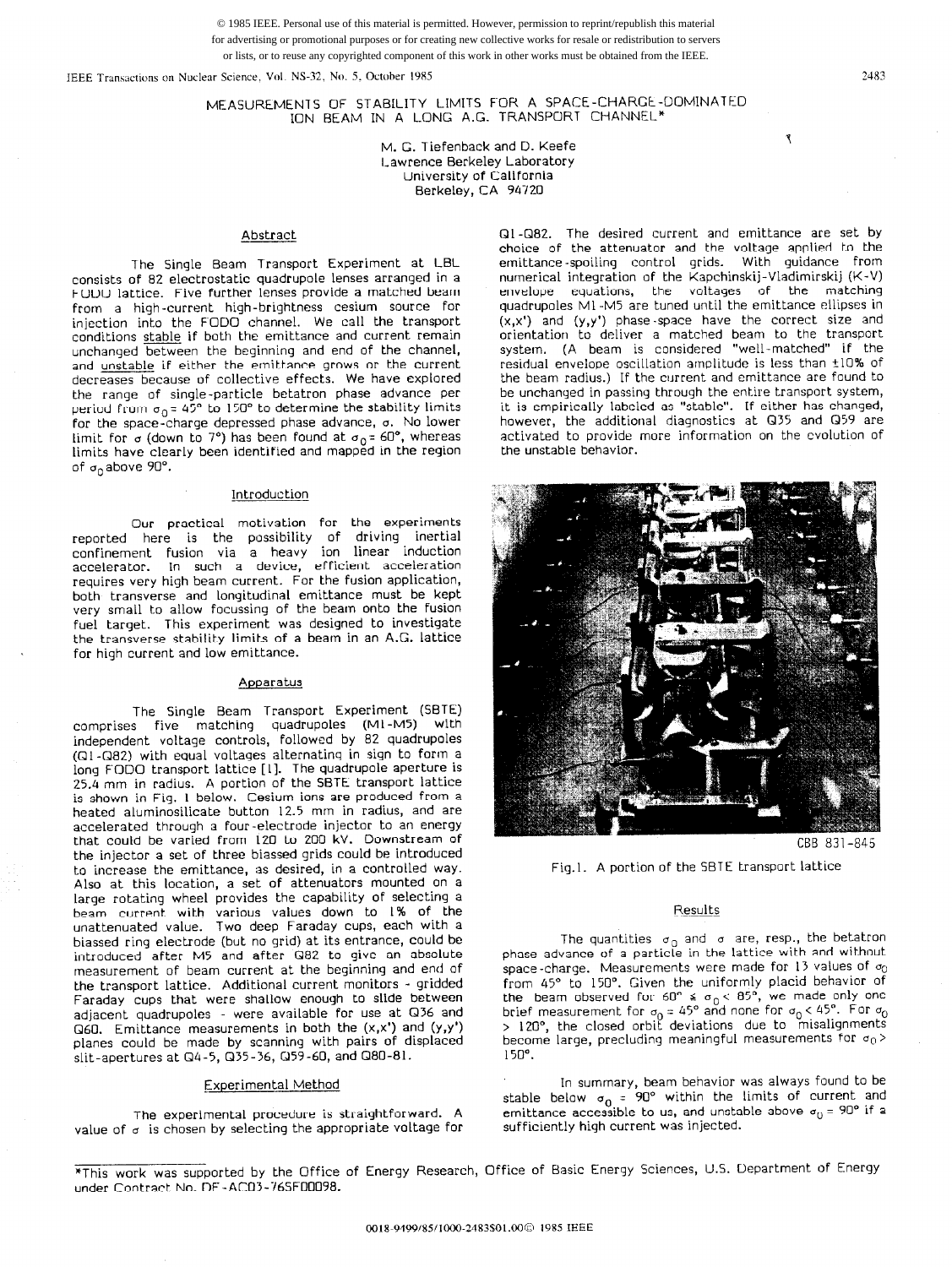© 1985 IEEE. Personal use of this material is permitted. However, permission to reprint/republish this material for advertising or promotional purposes or for creating new collective works for resale or redistribution to servers or lists, or to reuse any copyrighted component of this work in other works must be obtained from the IEEE.

IEEE Transactions on Nuclear Science, Vol. NS-32, No. 5, October 1985 2483

MEASUREMENTS OF STABILITY LIMITS FOR A SPACE-CHARGE-DOMIN ION BEAM IN A L.DNG A.G. TRANSPORT CHANNEL\*

> M. G. Tiefenback and D. Keefe Lawrence Berkeley Laboratory University of California Berkeley, CA 94720

# Abstract

The Single Beam Transport Experiment at LBL consists of 82 electrostatic quadrupole lenses arranged in a FODO lattice. Five further lenses provide a matched beam from a high-current high-brightness cesium source for injection into the FODO channel. We call the transport conditions stable if both the emittance and current remain unchanged between the beginning and end of the channel, and unstable if either the emittance grows or the current decreases because of collective effects. We have explored the range of single-particle betatron phase advance per period from  $\sigma_0 = 45^\circ$  to 150° to determine the stability limits for the space-charge depressed phase advance, 0. No lower limit for  $\sigma$  (down to 7°) has been found at  $\sigma_0 = 60^\circ$ , whereas limits have clearly been identified and mapped in the region of  $\sigma_0$ above 90°.

## Introduction

Our practical motivation for the experimen reported here is the possibility of driving inerti confinement fusion via a heavy ion linear inductio accelerator. In such a device, efficient accelerat requires very high beam current. For the fusion application, both transverse and longitudinal emittance must be kept very small to allow focussing of the beam onto the fusion fuel target. This experiment was designed to investigate the transverse stability limits of a beam in an A.G. lattice for high current and low emittance.

## Apparatus

The Single Beam Transport Experiment (SBTE) comprises five matching quadrupoles (Ml -M5) with independent voltage controls, followed by 82 quadrupoles (QI-Q82) with equal voltages alternating in sign to form a long FODO transport lattice [I]. The quadrupole aperture is 25.4 mm in radius. A portion of the SBTE transport lattice is shown in Fig. I below. Cesium ions are produced from a heated aluminosilicate button 12.5 mm in radius, and are accelerated through a four-electrode injector to an energy that could be varied from 120 to 200 kV. Downstream of the injector a set of three biassed grids could be introduced to increase the emittance, as desired, in a controlled way. Also at this location, a set of attenuators mounted on a large rotating wheel provides the capability of selecting a beam current with various values down to I% of the unattenuated value. Two deep Faraday cups, each with a biassed ring electrode (but no grid) at its entrance, could be introduced after M5 and after Q82 to give an absolute measurement of beam current at the beginning and end of the transport lattice. Additional current monitors - gridded Faraday cups that were shallow enough to slide between adjacent quadrupoles - were available for use at Q36 and  $Q60.$  Emittance measurements in both the  $(x,x')$  and  $(y,y')$ planes could be made by scanning with pairs of displaced slit-apertures at Gl4-5, Q35-36, Q59-60, and Q80-81.

# Experimental Method

The experimental procedure is straightforward. A value of  $\sigma$  is chosen by selecting the appropriate voltage for Ql-Q82. The desired current and emittance are set by choice of the attenuator and the voltage applied to the emittance -spoiling control grids. With guidance from numerical integration of the Kapchinskij-Vladimirskij (K-V) envelope equations, the voltages of the matching quadrupoles Ml -M5 are tuned until the emittance ellipses in (x,x') and (y,y') phase-space have the correct size and orientation to deliver a matched beam to the transport system. (A beam is considered "well-matched" if the residual envelope oscillation arnplitude is less than +lO% of the beam radius.) If the current and emittance are found to be unchanged in passing through the entire transport system, it is empirically labeled as "stable". If either has changed, however, the additional diagnostics at Q35 and Q59 are activated to provide more information on the evolution of the unstable behavior.



Fig.1. A portion of the SBTE transport lattice

#### Results

The quantities  $\sigma_0$  and  $\sigma$  are, resp., the betatron phase advance of a particle in the lattice with and without space-charge. Measurements were made for 13 values of  $\sigma_0$  $space$ -charge. Measurements were made for I<sub>2</sub> values of  $\phi$ from 45" to 150". Given the uniformly placid behavior of the beam observed for  $\omega \geq \omega_0 \leq \omega$ , we made only one brief measurement for  $\phi_0 = 45$  and none for  $\phi_0 \times 45$ . For  $\phi_0$  $>$  120 $^{\circ}$ , the closed orbit deviations due to misalignments become large, precluding meaningful measurements for  $\sigma_0$  > 150".

In surnmary, beam behavior was always found to be stable below  $\sigma_0 = 90^\circ$  within the limits of current and emittance accessible to us, and unstable above  $\sigma_0$  = 90  $\,$  if a sufficiently high current was injected.

٦

<sup>\*</sup>This work was supported by the Office of Energy Research, Office of Basic Energy Sciences, U.S. Department of Energy under Contract No. DE-ACCl3-76SFD0098.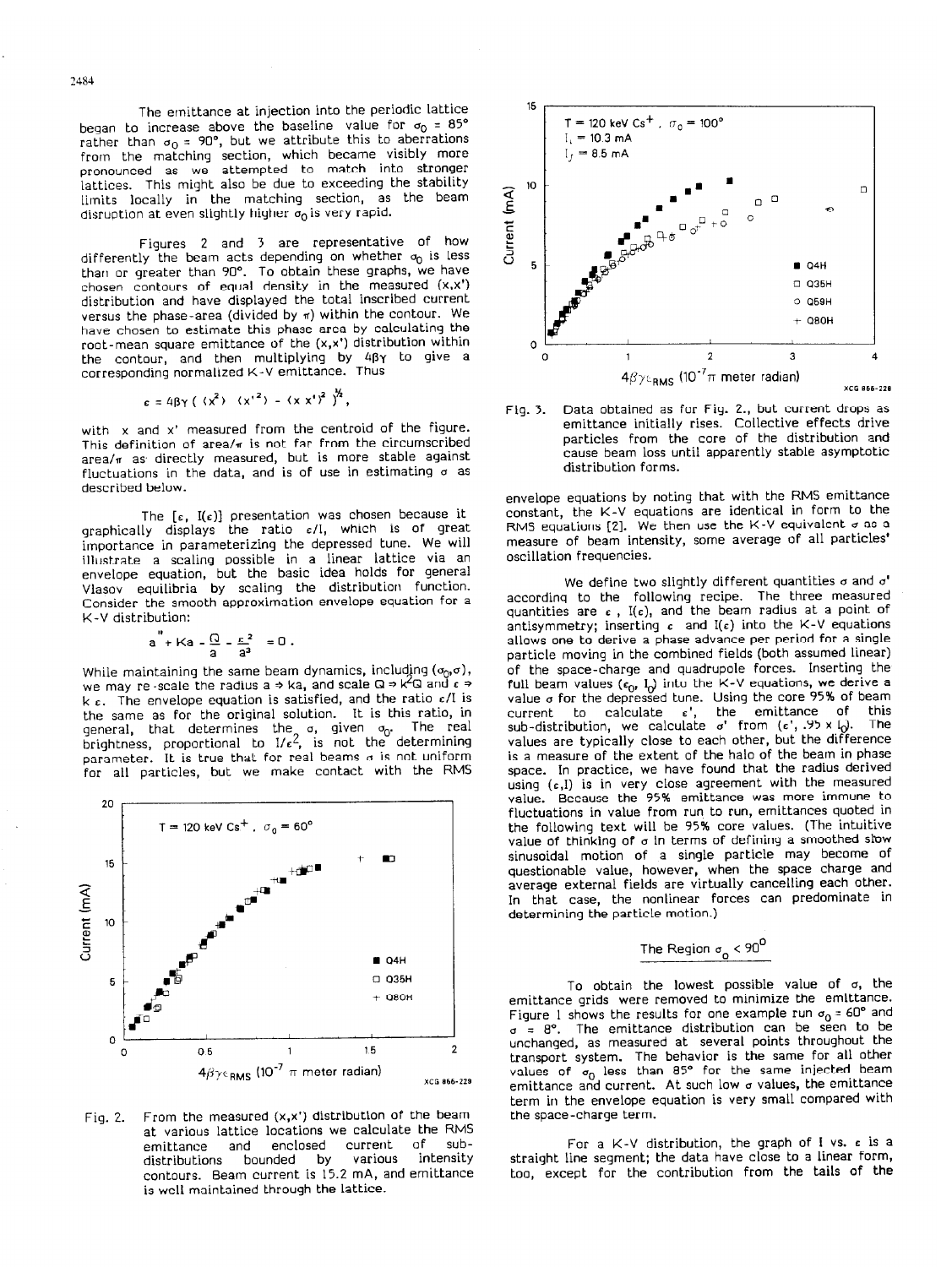The emittance at injection into the periodic lattice began to increase above the baseline value for  $\sigma_0 = 85^\circ$ rather than  $\sigma_0 = 90^\circ$ , but we attribute this to aberrations from the matching section, which became visibly more pronounced as we attempted to match into stronger lattices. This might also be due to exceeding the stability limits locally in the matching section, as the beam disruption at even slightly higher  $\sigma_0$  is very rapid.

Figures 2 and 3 are representative of how differently the beam acts depending on whether  $\sigma_0$  is less tharl or greater than 90". To obtain these graphs, we have chosen contours of equal density in the measured  $(x, x)$ distribution and have displayed the total inscribed current versus the phase-area (divided by n) within the contour. We have chosen to estimate this phase area by calculating the root-mean square emittance of the (x,x') distribution within the contour, and then multiplying by 4By to give a corresponding normalized K-V emittance. Thus

$$
\epsilon = 4\beta\gamma (\langle x^2 \rangle - \langle x^2 \rangle - \langle x^2 \rangle^2)^{2/2},
$$

with x and x' measured from the centroid of the figure. This definition of area/ $\pi$  is not far from the circumscribed area/n as directly measured, but is more stable against fluctuations in the data, and is of use in estimating  $\sigma$  as described below.

The  $[\varepsilon, I(\varepsilon)]$  presentation was chosen because it graphically displays the ratio  $\varepsilon/1$ , which is of great importance in parameterizing the depressed tune. We will illustrate a scaling possible in a linear lattice via an envelope equation, but the basic idea holds for general Vlasov equilibria by scaling the distribution function. Consider the smooth approximation envelope equation for a K-V distribution:

$$
a'' + Ka - \frac{Q}{a} - \frac{\varepsilon^2}{a^3} = 0.
$$

While maintaining the same beam dynamics, including  $(\sigma_0, \sigma)$ , we may re -scale the radius a  $\Rightarrow$  ka, and scale Q  $\Rightarrow$  k<sup>2</sup>Q and  $\epsilon \Rightarrow$ k  $\varepsilon$ . The envelope equation is satisfied, and the ratio  $\varepsilon / I$  is the same as for the original solution. It is this ratio, in general, that determines the  $\sigma_{\rm 0}$ brightness, proportional to I/ $\epsilon$ 4, is not the determini parameter. It is true that for real beams  $\sigma$  is not uniform for all particles, but we make contact with the RMS



Fig. 2. From the measured  $(x, x')$  distribution of the beam at various lattice locations we calculate the RMS<br>emittance and enclosed current of subemittance and enclosed current of sub-<br>distributions bounded by various intensity distributions bounded by various intensity contours. Beam current is 15.2 mA, and emittance is well maintained through the lattice.





envelope equations by noting that with the RMS emittance<br>constant, the K-V equations are identical in form to the constant, the K-V equations are identical in form to the RMS equations [Z]. We then use the K-V equivalent 0 as a measure of beam intensity, some average of all particles' oscillation frequencies.

We define two slightly different quantities 0 and a' according to the following recipe. The three measure quantities are  $\epsilon$ , I( $\epsilon$ ), and the beam radius at a point of antisymmetry; inserting  $\epsilon$  and I( $\epsilon$ ) into the K-V equations antisymmetry; inserting L and I(C) into the K-V equation allows one to derive a phase advance per period for a single particle moving in the combined fields (both assumed linear) of the space-charge and quadrupole forces. Inserting the full beam values (eq. iq. life the K-V equations) he derive a value 0 for the depressed tune. Using the core 95% of beam current to calculate  $\epsilon'$ , the emittance of this sub-distribution, we calculate  $\sigma'$  from  $(\epsilon'$ , .95 x  $I_0$ ). The values are typically close to each other, but the difference values are typically close to each other, but the difference is a measure of the extent of the halo of the beam in phase space. In practice, we have found that the radius derived using (c,I) is in very close agreement with the measured value. Because the 95% emittance was more immune to fluctuations in value from run to run, emittances quoted in the following text will be 95% core values. (The intuitive value of thinking of  $\sigma$  in terms of defining a smoothed slow value of thinking of 0 in terms of defining a smoothed sby sinusoidal motion of a single particle may become of questionable value, however, when the space charge and<br>average external fields are virtually cancelling each other. average external fields are virtually cancelling each other. In that case, the nonlinear forces can predominate in determining the particle motion.)

# The Region  $\sigma_{\rm o}$  < 90<sup>0</sup>

To obtain the lowest possible value of a, the emittance grids were removed to minimize the emittance. Figure 1 shows the results for one example run a0 = 60" and  $\sigma = \sigma$ . The emittance distribution can be seen to be unchanged, as measured at several points throughout the transport system. The behavior is the same for all other values of o<sub>o</sub> less than 85 for the same injected beam emittance and current. At such low a values, the emittance term in the envelope equation is very small compared with the space-charge term.

For a K-V distribution, the graph of I vs. c is a straight line segment; the data have close to a linear form, straight line segment; the data have close to a linear form, too, except for the contribution from the tails of the